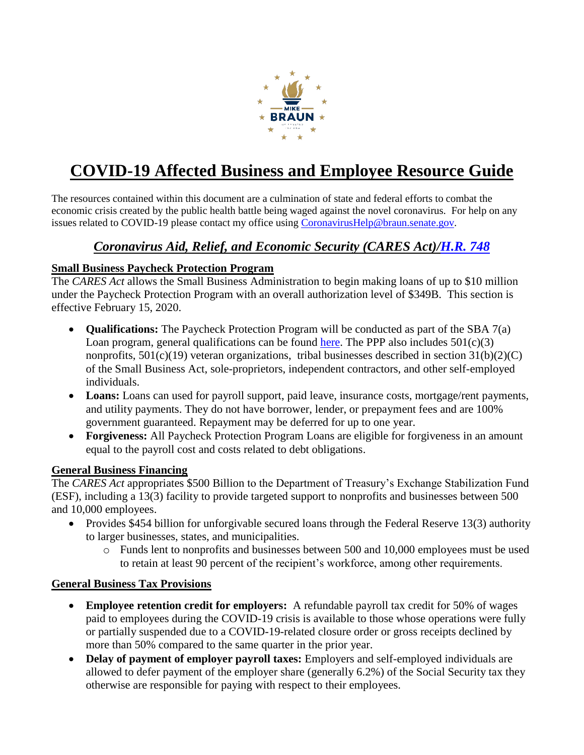

# **COVID-19 Affected Business and Employee Resource Guide**

The resources contained within this document are a culmination of state and federal efforts to combat the economic crisis created by the public health battle being waged against the novel coronavirus. For help on any issues related to COVID-19 please contact my office using [CoronavirusHelp@braun.senate.gov.](mailto:CoronavirusHelp@braun.senate.gov)

# *Coronavirus Aid, Relief, and Economic Security (CARES Act)[/H.R. 748](https://www.congress.gov/bill/116th-congress/house-bill/748)*

#### **Small Business Paycheck Protection Program**

The *CARES Act* allows the Small Business Administration to begin making loans of up to \$10 million under the Paycheck Protection Program with an overall authorization level of \$349B. This section is effective February 15, 2020.

- **Qualifications:** The Paycheck Protection Program will be conducted as part of the SBA 7(a) Loan program, general qualifications can be found [here.](https://www.sba7a.loans/eligibility-and-qualifications-for-the-sba-7a-loan) The PPP also includes  $501(c)(3)$ nonprofits,  $501(c)(19)$  veteran organizations, tribal businesses described in section  $31(b)(2)(C)$ of the Small Business Act, sole-proprietors, independent contractors, and other self-employed individuals.
- **Loans:** Loans can used for payroll support, paid leave, insurance costs, mortgage/rent payments, and utility payments. They do not have borrower, lender, or prepayment fees and are 100% government guaranteed. Repayment may be deferred for up to one year.
- **Forgiveness:** All Paycheck Protection Program Loans are eligible for forgiveness in an amount equal to the payroll cost and costs related to debt obligations.

#### **General Business Financing**

The *CARES Act* appropriates \$500 Billion to the Department of Treasury's Exchange Stabilization Fund (ESF), including a 13(3) facility to provide targeted support to nonprofits and businesses between 500 and 10,000 employees.

- Provides \$454 billion for unforgivable secured loans through the Federal Reserve 13(3) authority to larger businesses, states, and municipalities.
	- o Funds lent to nonprofits and businesses between 500 and 10,000 employees must be used to retain at least 90 percent of the recipient's workforce, among other requirements.

# **General Business Tax Provisions**

- **Employee retention credit for employers:** A refundable payroll tax credit for 50% of wages paid to employees during the COVID-19 crisis is available to those whose operations were fully or partially suspended due to a COVID-19-related closure order or gross receipts declined by more than 50% compared to the same quarter in the prior year.
- **Delay of payment of employer payroll taxes:** Employers and self-employed individuals are allowed to defer payment of the employer share (generally 6.2%) of the Social Security tax they otherwise are responsible for paying with respect to their employees.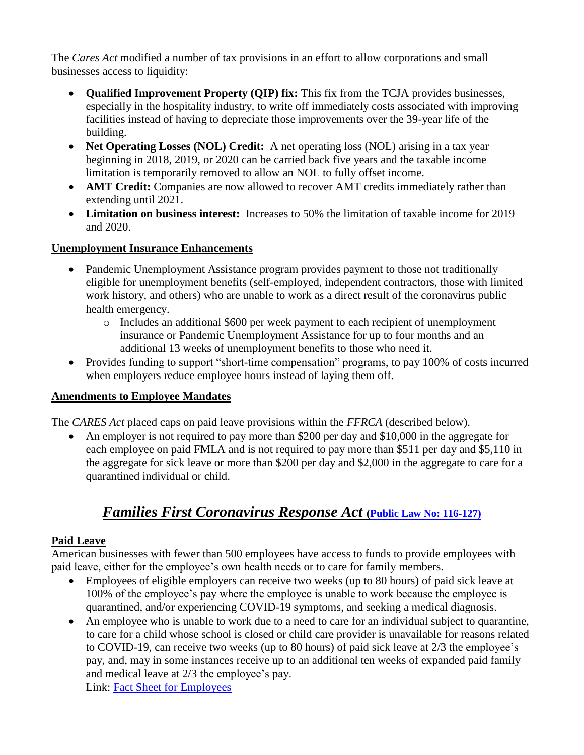The *Cares Act* modified a number of tax provisions in an effort to allow corporations and small businesses access to liquidity:

- **Qualified Improvement Property (QIP) fix:** This fix from the TCJA provides businesses, especially in the hospitality industry, to write off immediately costs associated with improving facilities instead of having to depreciate those improvements over the 39-year life of the building.
- Net Operating Losses (NOL) Credit: A net operating loss (NOL) arising in a tax year beginning in 2018, 2019, or 2020 can be carried back five years and the taxable income limitation is temporarily removed to allow an NOL to fully offset income.
- **AMT Credit:** Companies are now allowed to recover AMT credits immediately rather than extending until 2021.
- **Limitation on business interest:** Increases to 50% the limitation of taxable income for 2019 and 2020.

#### **Unemployment Insurance Enhancements**

- Pandemic Unemployment Assistance program provides payment to those not traditionally eligible for unemployment benefits (self-employed, independent contractors, those with limited work history, and others) who are unable to work as a direct result of the coronavirus public health emergency.
	- o Includes an additional \$600 per week payment to each recipient of unemployment insurance or Pandemic Unemployment Assistance for up to four months and an additional 13 weeks of unemployment benefits to those who need it.
- Provides funding to support "short-time compensation" programs, to pay 100% of costs incurred when employers reduce employee hours instead of laying them off.

#### **Amendments to Employee Mandates**

The *CARES Act* placed caps on paid leave provisions within the *FFRCA* (described below).

• An employer is not required to pay more than \$200 per day and \$10,000 in the aggregate for each employee on paid FMLA and is not required to pay more than \$511 per day and \$5,110 in the aggregate for sick leave or more than \$200 per day and \$2,000 in the aggregate to care for a quarantined individual or child.

# *Families First Coronavirus Response Act* **[\(Public Law No: 116-127\)](https://www.congress.gov/bill/116th-congress/house-bill/6201)**

# **Paid Leave**

American businesses with fewer than 500 employees have access to funds to provide employees with paid leave, either for the employee's own health needs or to care for family members.

- Employees of eligible employers can receive two weeks (up to 80 hours) of paid sick leave at 100% of the employee's pay where the employee is unable to work because the employee is quarantined, and/or experiencing COVID-19 symptoms, and seeking a medical diagnosis.
- An employee who is unable to work due to a need to care for an individual subject to quarantine, to care for a child whose school is closed or child care provider is unavailable for reasons related to COVID-19, can receive two weeks (up to 80 hours) of paid sick leave at 2/3 the employee's pay, and, may in some instances receive up to an additional ten weeks of expanded paid family and medical leave at 2/3 the employee's pay. Link: [Fact Sheet for Employees](https://www.dol.gov/agencies/whd/pandemic/ffcra-employee-paid-leave)